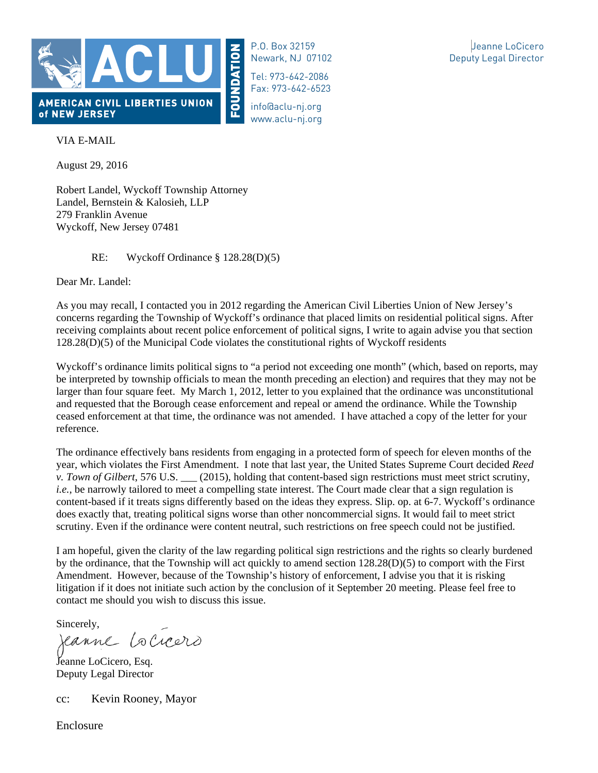

P.O. Box 32159 Newark, NJ 07102

Tel: 973-642-2086 Fax: 973-642-6523 Ĩ

info@aclu-nj.org www.aclu-nj.org

Jeanne LoCicero Deputy Legal Director

VIA E-MAIL

August 29, 2016

Robert Landel, Wyckoff Township Attorney Landel, Bernstein & Kalosieh, LLP 279 Franklin Avenue Wyckoff, New Jersey 07481

RE: Wyckoff Ordinance § 128.28(D)(5)

Dear Mr. Landel:

As you may recall, I contacted you in 2012 regarding the American Civil Liberties Union of New Jersey's concerns regarding the Township of Wyckoff's ordinance that placed limits on residential political signs. After receiving complaints about recent police enforcement of political signs, I write to again advise you that section 128.28(D)(5) of the Municipal Code violates the constitutional rights of Wyckoff residents

Wyckoff's ordinance limits political signs to "a period not exceeding one month" (which, based on reports, may be interpreted by township officials to mean the month preceding an election) and requires that they may not be larger than four square feet. My March 1, 2012, letter to you explained that the ordinance was unconstitutional and requested that the Borough cease enforcement and repeal or amend the ordinance. While the Township ceased enforcement at that time, the ordinance was not amended. I have attached a copy of the letter for your reference.

The ordinance effectively bans residents from engaging in a protected form of speech for eleven months of the year, which violates the First Amendment. I note that last year, the United States Supreme Court decided *Reed v. Town of Gilbert*, 576 U.S. \_\_\_ (2015), holding that content-based sign restrictions must meet strict scrutiny, *i.e.*, be narrowly tailored to meet a compelling state interest. The Court made clear that a sign regulation is content-based if it treats signs differently based on the ideas they express. Slip. op. at 6-7. Wyckoff's ordinance does exactly that, treating political signs worse than other noncommercial signs. It would fail to meet strict scrutiny. Even if the ordinance were content neutral, such restrictions on free speech could not be justified.

I am hopeful, given the clarity of the law regarding political sign restrictions and the rights so clearly burdened by the ordinance, that the Township will act quickly to amend section 128.28(D)(5) to comport with the First Amendment. However, because of the Township's history of enforcement, I advise you that it is risking litigation if it does not initiate such action by the conclusion of it September 20 meeting. Please feel free to contact me should you wish to discuss this issue.

Sincerely,

Jeanne Locreers

Jeanne LoCicero, Esq. Deputy Legal Director

cc: Kevin Rooney, Mayor

Enclosure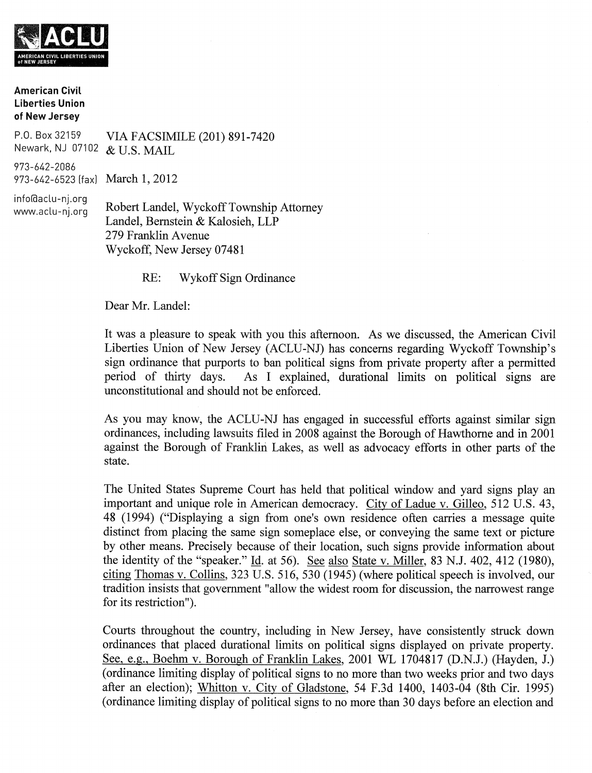

## **American Civil Liberties Union** of New Jersey

P.O. Box 32159 VIA FACSIMILE (201) 891-7420 Newark, NJ 07102 & U.S. MAIL 973-642-2086 973-642-6523 (fax) March 1, 2012

info@aclu-nj.org Robert Landel, Wyckoff Township Attorney www.aclu-nj.org Landel, Bernstein & Kalosieh, LLP 279 Franklin Avenue Wyckoff, New Jersey 07481

> RE: Wykoff Sign Ordinance

Dear Mr. Landel:

It was a pleasure to speak with you this afternoon. As we discussed, the American Civil Liberties Union of New Jersey (ACLU-NJ) has concerns regarding Wyckoff Township's sign ordinance that purports to ban political signs from private property after a permitted As I explained, durational limits on political signs are period of thirty days. unconstitutional and should not be enforced.

As you may know, the ACLU-NJ has engaged in successful efforts against similar sign ordinances, including lawsuits filed in 2008 against the Borough of Hawthorne and in 2001 against the Borough of Franklin Lakes, as well as advocacy efforts in other parts of the state.

The United States Supreme Court has held that political window and yard signs play an important and unique role in American democracy. City of Ladue v. Gilleo, 512 U.S. 43, 48 (1994) ("Displaying a sign from one's own residence often carries a message quite distinct from placing the same sign someplace else, or conveying the same text or picture by other means. Precisely because of their location, such signs provide information about the identity of the "speaker." Id. at 56). See also State v. Miller, 83 N.J. 402, 412 (1980), citing Thomas v. Collins, 323 U.S. 516, 530 (1945) (where political speech is involved, our tradition insists that government "allow the widest room for discussion, the narrowest range for its restriction").

Courts throughout the country, including in New Jersey, have consistently struck down ordinances that placed durational limits on political signs displayed on private property. See, e.g., Boehm v. Borough of Franklin Lakes, 2001 WL 1704817 (D.N.J.) (Hayden, J.) (ordinance limiting display of political signs to no more than two weeks prior and two days after an election); Whitton v. City of Gladstone, 54 F.3d 1400, 1403-04 (8th Cir. 1995) (ordinance limiting display of political signs to no more than 30 days before an election and